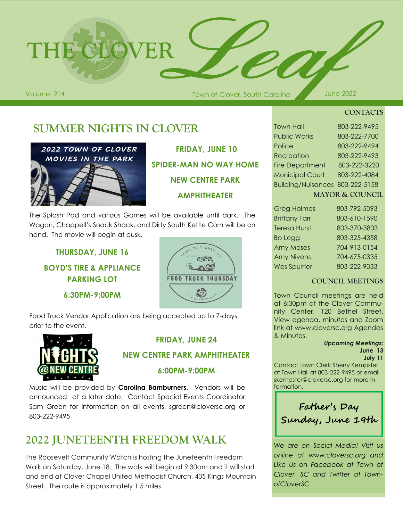

Town of Clover, South Carolina Volume 214 June 2022

**CONTACTS**

# **SUMMER NIGHTS IN CLOVER**



**FRIDAY, JUNE 10 SPIDER-MAN NO WAY HOME NEW CENTRE PARK AMPHITHEATER**

The Splash Pad and various Games will be available until dark. The Wagon, Chappell's Snack Shack, and Dirty South Kettle Corn will be on hand. The movie will begin at dusk.

**THURSDAY, JUNE 16 BOYD'S TIRE & APPLIANCE PARKING LOT**

**6:30PM-9:00PM**



Food Truck Vendor Application are being accepted up to 7-days prior to the event.



## **FRIDAY, JUNE 24**

### **NEW CENTRE PARK AMPHITHEATER**

### **6:00PM-9:00PM**

Music will be provided by **Carolina Barnburners**. Vendors will be announced at a later date. Contact Special Events Coordinator Sam Green for information on all events, sgreen@cloversc.org or 803-222-9495

# **2022 JUNETEENTH FREEDOM WALK**

The Roosevelt Community Watch is hosting the Juneteenth Freedom Walk on Saturday, June 18. The walk will begin at 9:30am and it will start and end at Clover Chapel United Methodist Church, 405 Kings Mountain Street. The route is approximately 1.5 miles.

| <b>Town Hall</b>                | 803-222-9495 |
|---------------------------------|--------------|
| <b>Public Works</b>             | 803-222-7700 |
| Police                          | 803-222-9494 |
| Recreation                      | 803-222-9493 |
| <b>Fire Department</b>          | 803-222-3220 |
| <b>Municipal Court</b>          | 803-222-4084 |
| Building/Nuisances 803-222-5158 |              |
|                                 |              |

| <b>MAYOR &amp; COUNCIL</b> |  |  |  |
|----------------------------|--|--|--|
|                            |  |  |  |

| <b>Greg Holmes</b>   | 803-792-5093 |
|----------------------|--------------|
| <b>Brittany Farr</b> | 803-610-1590 |
| <b>Teresa Hurst</b>  | 803-370-3803 |
| <b>Bo Legg</b>       | 803-325-4358 |
| <b>Amy Moses</b>     | 704-913-0154 |
| <b>Amy Nivens</b>    | 704-675-0335 |
| <b>Wes Spurrier</b>  | 803-222-9033 |

### **COUNCIL MEETINGS**

Town Council meetings are held at 6:30pm at the Clover Community Center, 120 Bethel Street. View agenda, minutes and Zoom link at www.cloversc.org Agendas & Minutes.

#### *Upcoming Meetings:* **June 13**

#### **July 11**

Contact Town Clerk Sherry Kempster at Town Hall at 803-222-9495 or email skempster@cloversc.org for more information.



*We are on Social Media! Visit us online at www.cloversc.org and Like Us on Facebook at Town of Clover, SC and Twitter at TownofCloverSC*